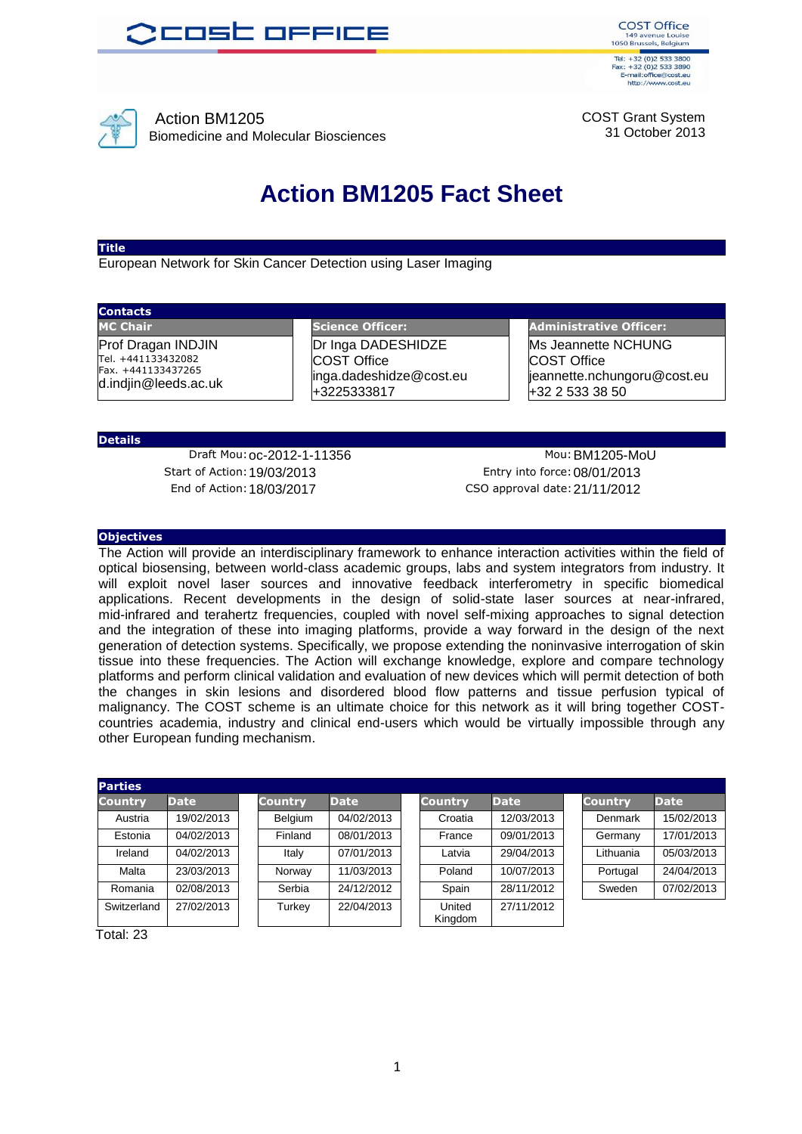



Action BM1205 Biomedicine and Molecular Biosciences COST Grant System 31 October 2013

## **Action BM1205 Fact Sheet**

#### **Title**

European Network for Skin Cancer Detection using Laser Imaging

### **Contacts**

Prof Dragan INDJIN Tel. +441133432082 Fax. +441133437265 d.indjin@leeds.ac.uk

**MC Chair Science Officer: Administrative Officer: Administrative Officer:** Dr Inga DADESHIDZE COST Office inga.dadeshidze@cost.eu +3225333817

Ms Jeannette NCHUNG COST Office jeannette.nchungoru@cost.eu  $+32$  2 533 38 50

#### **Details**

Start of Action:19/03/2013 Entry into force:08/01/2013 End of Action:18/03/2017 CSO approval date:21/11/2012

Draft Mou: 0c-2012-1-11356 Mou: BM1205-MoU

#### **Objectives**

The Action will provide an interdisciplinary framework to enhance interaction activities within the field of optical biosensing, between world-class academic groups, labs and system integrators from industry. It will exploit novel laser sources and innovative feedback interferometry in specific biomedical applications. Recent developments in the design of solid-state laser sources at near-infrared, mid-infrared and terahertz frequencies, coupled with novel self-mixing approaches to signal detection and the integration of these into imaging platforms, provide a way forward in the design of the next generation of detection systems. Specifically, we propose extending the noninvasive interrogation of skin tissue into these frequencies. The Action will exchange knowledge, explore and compare technology platforms and perform clinical validation and evaluation of new devices which will permit detection of both the changes in skin lesions and disordered blood flow patterns and tissue perfusion typical of malignancy. The COST scheme is an ultimate choice for this network as it will bring together COSTcountries academia, industry and clinical end-users which would be virtually impossible through any other European funding mechanism.

| <b>Parties</b> |             |                |             |                   |             |                |             |
|----------------|-------------|----------------|-------------|-------------------|-------------|----------------|-------------|
| <b>Country</b> | <b>Date</b> | <b>Country</b> | <b>Date</b> | <b>Country</b>    | <b>Date</b> | <b>Country</b> | <b>Date</b> |
| Austria        | 19/02/2013  | Belgium        | 04/02/2013  | Croatia           | 12/03/2013  | Denmark        | 15/02/2013  |
| Estonia        | 04/02/2013  | Finland        | 08/01/2013  | France            | 09/01/2013  | Germany        | 17/01/2013  |
| Ireland        | 04/02/2013  | Italy          | 07/01/2013  | Latvia            | 29/04/2013  | Lithuania      | 05/03/2013  |
| Malta          | 23/03/2013  | Norway         | 11/03/2013  | Poland            | 10/07/2013  | Portugal       | 24/04/2013  |
| Romania        | 02/08/2013  | Serbia         | 24/12/2012  | Spain             | 28/11/2012  | Sweden         | 07/02/2013  |
| Switzerland    | 27/02/2013  | Turkey         | 22/04/2013  | United<br>Kingdom | 27/11/2012  |                |             |

Total: 23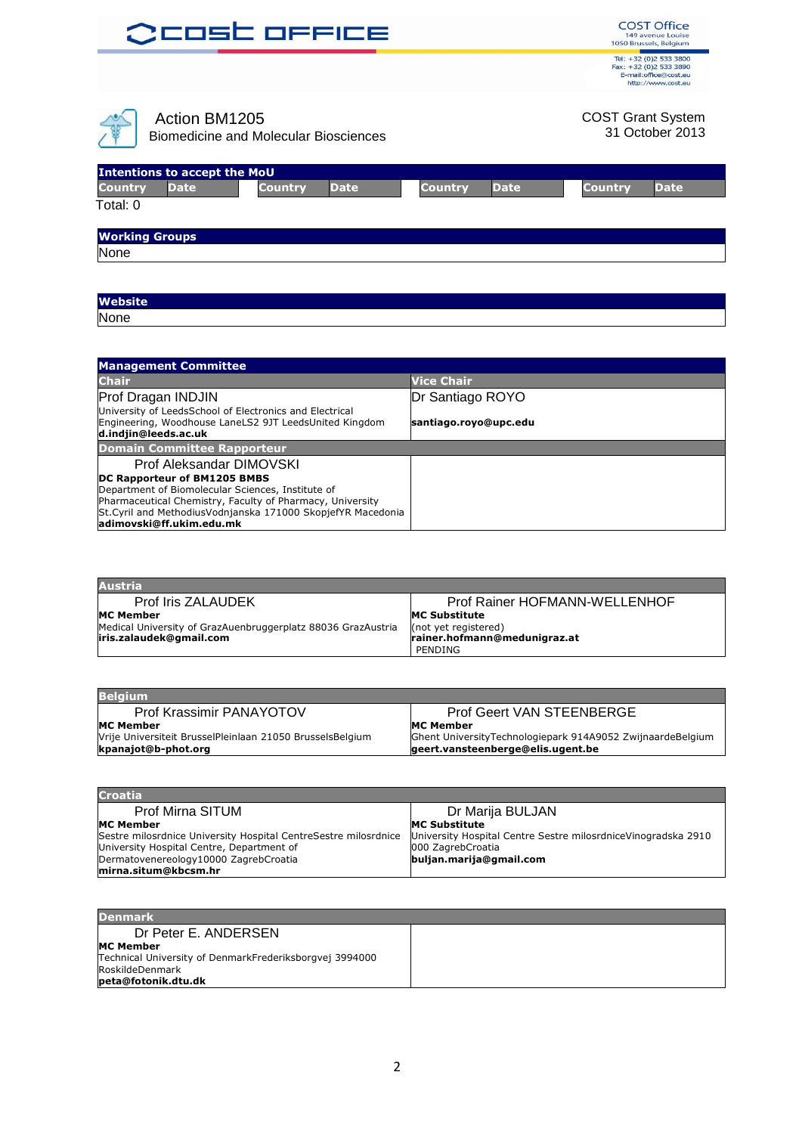| <b>OCOSC OFFICE</b>                                                                                                     | <b>COST Office</b><br>149 avenue Louise<br>1050 Brussels, Belgium                               |
|-------------------------------------------------------------------------------------------------------------------------|-------------------------------------------------------------------------------------------------|
|                                                                                                                         | Tel: +32 (0)2 533 3800<br>Fax: +32 (0)2 533 3890<br>E-mail:office@cost.eu<br>http://www.cost.eu |
| Action BM1205<br><b>Biomedicine and Molecular Biosciences</b>                                                           | <b>COST Grant System</b><br>31 October 2013                                                     |
| <b>Intentions to accept the MoU</b><br><b>Country</b><br><b>Date</b><br><b>Country</b><br><b>Date</b><br><b>Country</b> | <b>Date</b><br><b>Country</b><br><b>Date</b>                                                    |
| Total: 0                                                                                                                |                                                                                                 |
|                                                                                                                         |                                                                                                 |
| <b>Working Groups</b>                                                                                                   |                                                                                                 |

| <b>Website</b> |  |
|----------------|--|
| None           |  |

| <b>Management Committee</b>                                                    |                       |  |  |  |
|--------------------------------------------------------------------------------|-----------------------|--|--|--|
| <b>Chair</b>                                                                   | <b>Vice Chair</b>     |  |  |  |
| Prof Dragan INDJIN                                                             | Dr Santiago ROYO      |  |  |  |
| University of LeedsSchool of Electronics and Electrical                        |                       |  |  |  |
| Engineering, Woodhouse LaneLS2 9JT LeedsUnited Kingdom<br>d.indjin@leeds.ac.uk | santiago.royo@upc.edu |  |  |  |
| <b>Domain Committee Rapporteur</b>                                             |                       |  |  |  |
| Prof Aleksandar DIMOVSKI                                                       |                       |  |  |  |
| DC Rapporteur of BM1205 BMBS                                                   |                       |  |  |  |
| Department of Biomolecular Sciences, Institute of                              |                       |  |  |  |
| Pharmaceutical Chemistry, Faculty of Pharmacy, University                      |                       |  |  |  |
| St.Cyril and MethodiusVodnjanska 171000 SkopjefYR Macedonia                    |                       |  |  |  |
| adimovski@ff.ukim.edu.mk                                                       |                       |  |  |  |

| <b>Austria</b>                                               |                               |
|--------------------------------------------------------------|-------------------------------|
| <b>Prof Iris ZALAUDEK</b>                                    | Prof Rainer HOFMANN-WELLENHOF |
| <b>MC Member</b>                                             | <b>MC Substitute</b>          |
| Medical University of GrazAuenbruggerplatz 88036 GrazAustria | (not yet registered)          |
| iris.zalaudek@qmail.com                                      | rainer.hofmann@medunigraz.at  |
|                                                              | PENDING                       |

| <b>Prof Geert VAN STEENBERGE</b>                           |
|------------------------------------------------------------|
| <b>MC Member</b>                                           |
| Ghent UniversityTechnologiepark 914A9052 ZwijnaardeBelgium |
| geert.vansteenberge@elis.ugent.be                          |
|                                                            |

| <b>Croatia</b>                                                  |                                                                |
|-----------------------------------------------------------------|----------------------------------------------------------------|
| Prof Mirna SITUM                                                | Dr Marija BULJAN                                               |
| <b>MC Member</b>                                                | <b>MC Substitute</b>                                           |
| Sestre milosrdnice University Hospital CentreSestre milosrdnice | University Hospital Centre Sestre milosrdnice Vinogradska 2910 |
| University Hospital Centre, Department of                       | 000 ZagrebCroatia                                              |
| Dermatovenereology10000 ZagrebCroatia                           | buljan.marija@gmail.com                                        |
| mirna.situm@kbcsm.hr                                            |                                                                |

| <b>Denmark</b>                                                                                                        |  |
|-----------------------------------------------------------------------------------------------------------------------|--|
| Dr Peter E. ANDERSEN                                                                                                  |  |
| <b>MC Member</b><br>Technical University of DenmarkFrederiksborgvej 3994000<br>RoskildeDenmark<br>peta@fotonik.dtu.dk |  |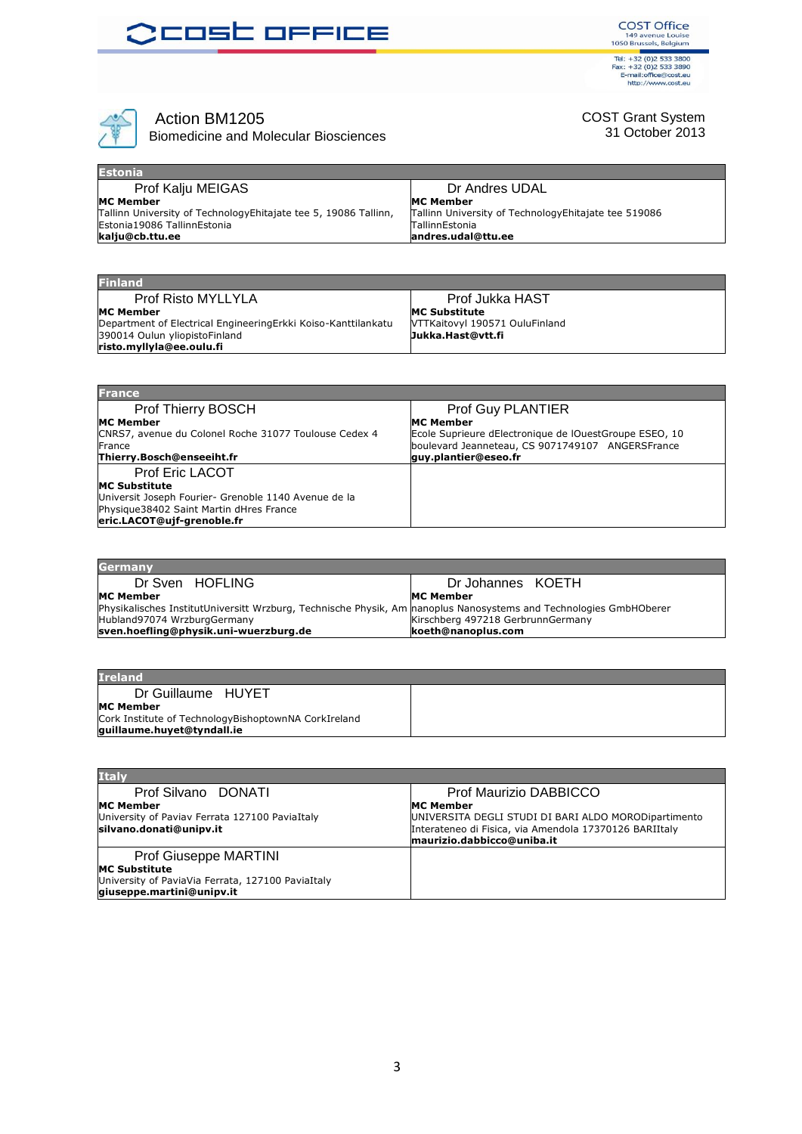## **OCOSC OFFICE**

**COST Office** 149 avenue Louise<br>1050 Brussels, Belgium<br>149 avenue Louise<br>1050 Brussels, Belgium<br>17el: +32 (0)2 533 3890<br>16 E-mail: office@cost.eu<br>http://www.cost.eu



### Action BM1205

Biomedicine and Molecular Biosciences

### COST Grant System 31 October 2013

| <b>Estonia</b>                                                   |                                                       |
|------------------------------------------------------------------|-------------------------------------------------------|
| Prof Kalju MEIGAS                                                | Dr Andres UDAL                                        |
| <b>MC Member</b>                                                 | <b>MC Member</b>                                      |
| Tallinn University of Technology Ehitajate tee 5, 19086 Tallinn, | Tallinn University of Technology Ehitajate tee 519086 |
| Estonia19086 TallinnEstonia                                      | <b>TallinnEstonia</b>                                 |
| kalju@cb.ttu.ee                                                  | andres.udal@ttu.ee                                    |

| <b>Finland</b>                                                |                                |
|---------------------------------------------------------------|--------------------------------|
| Prof Risto MYLLYLA                                            | Prof Jukka HAST                |
| <b>MC Member</b>                                              | <b>MC Substitute</b>           |
| Department of Electrical EngineeringErkki Koiso-Kanttilankatu | VTTKaitovyl 190571 OuluFinland |
| 390014 Oulun yliopistoFinland                                 | Jukka.Hast@vtt.fi              |
| risto.myllyla@ee.oulu.fi                                      |                                |

| <b>France</b>                                         |                                                        |
|-------------------------------------------------------|--------------------------------------------------------|
| Prof Thierry BOSCH                                    | Prof Guy PLANTIER                                      |
| <b>MC Member</b>                                      | <b>MC Member</b>                                       |
| CNRS7, avenue du Colonel Roche 31077 Toulouse Cedex 4 | Ecole Suprieure dElectronique de lOuestGroupe ESEO, 10 |
| France                                                | boulevard Jeanneteau, CS 9071749107 ANGERSFrance       |
| Thierry.Bosch@enseeiht.fr                             | quy.plantier@eseo.fr                                   |
| <b>Prof Eric LACOT</b>                                |                                                        |
| <b>IMC Substitute</b>                                 |                                                        |
| Universit Joseph Fourier- Grenoble 1140 Avenue de la  |                                                        |
| Physique38402 Saint Martin dHres France               |                                                        |
| eric.LACOT@ujf-grenoble.fr                            |                                                        |
|                                                       |                                                        |

| <b>Germany</b>                                                                                                    |                                   |
|-------------------------------------------------------------------------------------------------------------------|-----------------------------------|
| Dr Sven HOFLING                                                                                                   | Dr Johannes KOETH                 |
| <b>MC Member</b>                                                                                                  | <b>MC Member</b>                  |
| Physikalisches InstitutUniversitt Wrzburg, Technische Physik, Am manoplus Nanosystems and Technologies GmbHOberer |                                   |
| Hubland97074 WrzburgGermany                                                                                       | Kirschberg 497218 GerbrunnGermany |
| sven.hoefling@physik.uni-wuerzburg.de                                                                             | koeth@nanoplus.com                |

| <b>Ireland</b>                                       |  |
|------------------------------------------------------|--|
| Dr Guillaume HUYET                                   |  |
| <b>MC Member</b>                                     |  |
| Cork Institute of TechnologyBishoptownNA CorkIreland |  |
| guillaume.huyet@tyndall.ie                           |  |

| <b>Italy</b>                                      |                                                        |
|---------------------------------------------------|--------------------------------------------------------|
| Prof Silvano DONATI                               | Prof Maurizio DABBICCO                                 |
| <b>MC Member</b>                                  | <b>IMC Member</b>                                      |
| University of Paviav Ferrata 127100 PaviaItaly    | UNIVERSITA DEGLI STUDI DI BARI ALDO MORODipartimento   |
| silvano.donati@unipv.it                           | Interateneo di Fisica, via Amendola 17370126 BARIItaly |
|                                                   | maurizio.dabbicco@uniba.it                             |
| Prof Giuseppe MARTINI                             |                                                        |
| <b>MC Substitute</b>                              |                                                        |
| University of PaviaVia Ferrata, 127100 PaviaItaly |                                                        |
| giuseppe.martini@unipv.it                         |                                                        |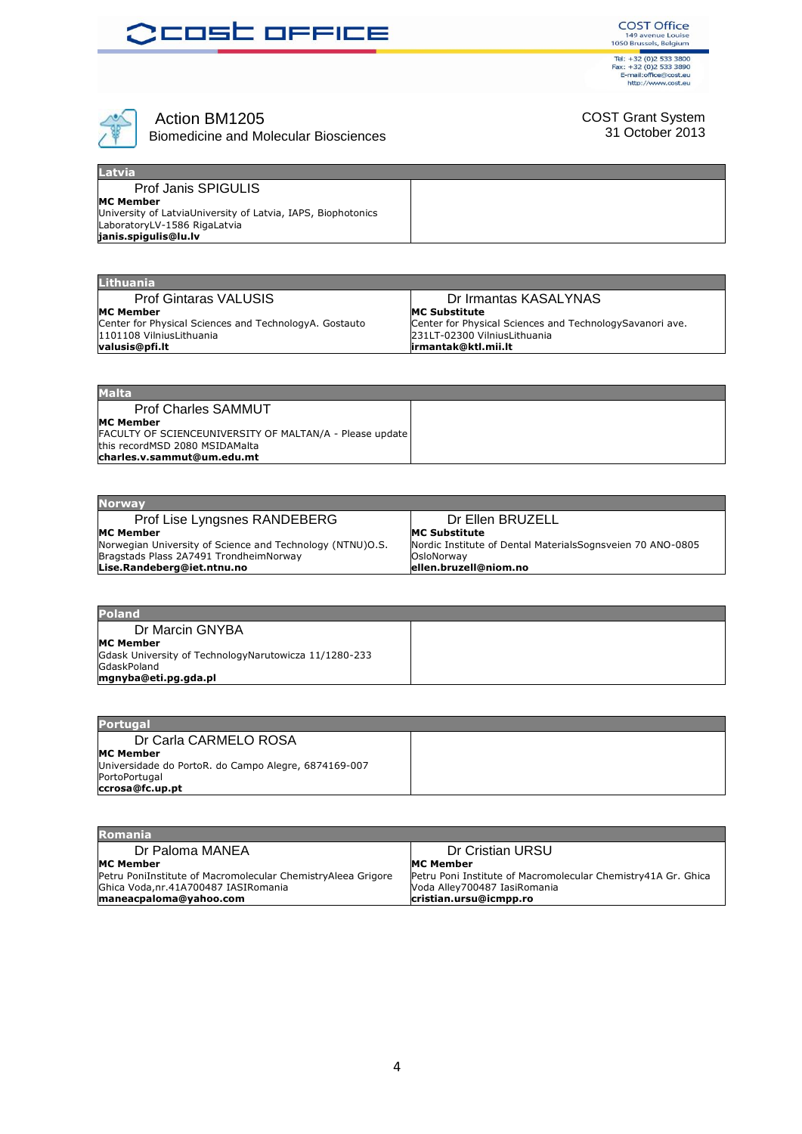





## Action BM1205

Biomedicine and Molecular Biosciences

### COST Grant System 31 October 2013

| <b>Latvia</b>                                                |  |
|--------------------------------------------------------------|--|
| <b>Prof Janis SPIGULIS</b>                                   |  |
| <b>MC Member</b>                                             |  |
| University of LatviaUniversity of Latvia, IAPS, Biophotonics |  |
| LaboratoryLV-1586 RigaLatvia                                 |  |
| janis.spigulis@lu.lv                                         |  |

| <b>Lithuania</b>                                       |                                                          |
|--------------------------------------------------------|----------------------------------------------------------|
| <b>Prof Gintaras VALUSIS</b>                           | Dr Irmantas KASALYNAS                                    |
| <b>MC Member</b>                                       | <b>MC Substitute</b>                                     |
| Center for Physical Sciences and TechnologyA. Gostauto | Center for Physical Sciences and TechnologySavanori ave. |
| 1101108 VilniusLithuania                               | 231LT-02300 VilniusLithuania                             |
| valusis@pfi.lt                                         | lirmantak@ktl.mii.lt                                     |

| <b>Malta</b>                                             |  |
|----------------------------------------------------------|--|
| <b>Prof Charles SAMMUT</b>                               |  |
| <b>MC Member</b>                                         |  |
| FACULTY OF SCIENCEUNIVERSITY OF MALTAN/A - Please update |  |
| this recordMSD 2080 MSIDAMalta                           |  |
| charles.v.sammut@um.edu.mt                               |  |

| <b>Norway</b>                                             |                                                            |
|-----------------------------------------------------------|------------------------------------------------------------|
| Prof Lise Lyngsnes RANDEBERG                              | Dr Ellen BRUZELL                                           |
| <b>MC Member</b>                                          | <b>IMC Substitute</b>                                      |
| Norwegian University of Science and Technology (NTNU)O.S. | Nordic Institute of Dental MaterialsSognsveien 70 ANO-0805 |
| Bragstads Plass 2A7491 TrondheimNorway                    | OsloNorway                                                 |
| Lise.Randeberg@iet.ntnu.no                                | ellen.bruzell@niom.no                                      |
|                                                           |                                                            |

| <b>Poland</b>                                         |  |
|-------------------------------------------------------|--|
| Dr Marcin GNYBA                                       |  |
| <b>MC Member</b>                                      |  |
| Gdask University of TechnologyNarutowicza 11/1280-233 |  |
| GdaskPoland                                           |  |
| mgnyba@eti.pg.gda.pl                                  |  |

| <b>Portugal</b>                                      |  |
|------------------------------------------------------|--|
| Dr Carla CARMELO ROSA                                |  |
| <b>MC Member</b>                                     |  |
| Universidade do PortoR. do Campo Alegre, 6874169-007 |  |
| PortoPortugal                                        |  |
| ccrosa@fc.up.pt                                      |  |

| <b>Romania</b>                                               |                                                               |
|--------------------------------------------------------------|---------------------------------------------------------------|
| Dr Paloma MANEA                                              | Dr Cristian URSU                                              |
| <b>MC Member</b>                                             | <b>IMC Member</b>                                             |
| Petru PoniInstitute of Macromolecular ChemistryAleea Grigore | Petru Poni Institute of Macromolecular Chemistry41A Gr. Ghica |
| Ghica Voda, nr. 41A700487 IASI Romania                       | Voda Alley700487 IasiRomania                                  |
| maneacpaloma@yahoo.com                                       | cristian.ursu@icmpp.ro                                        |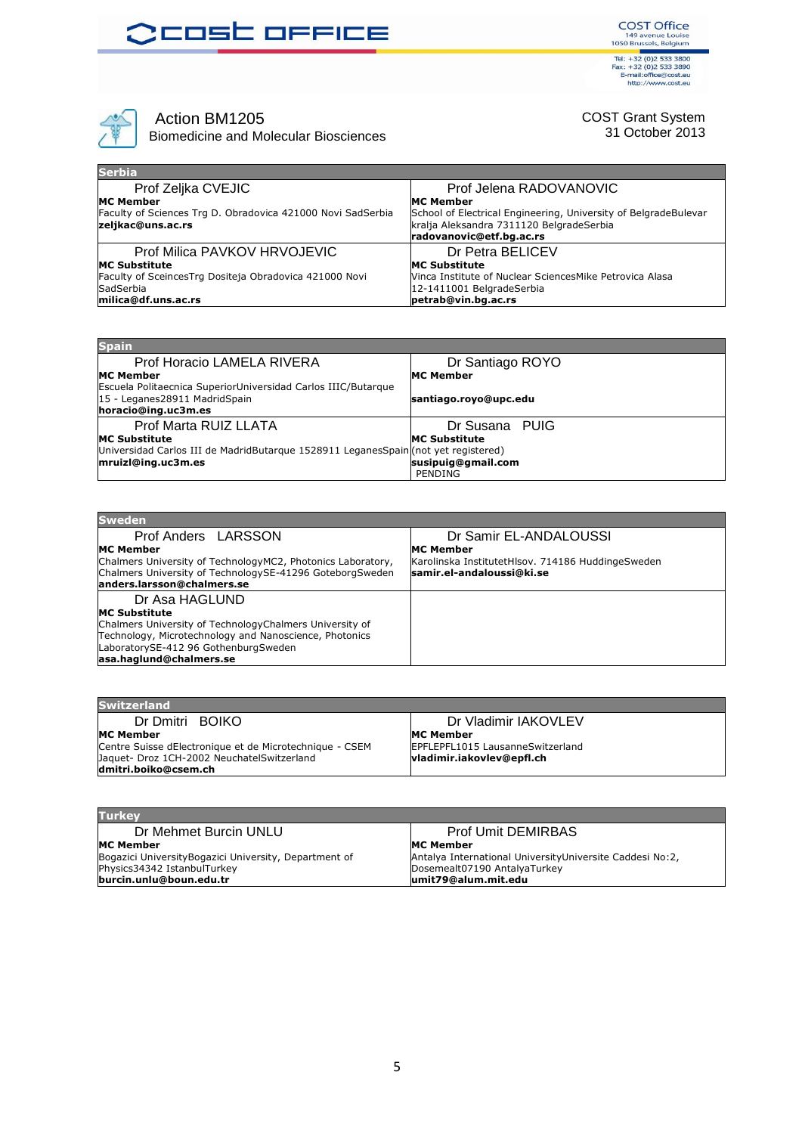## **OCOSC OFFICE**

**COST Office** 149 avenue Louise<br>1050 Brussels, Belgium<br>149 avenue Louise<br>1050 Brussels, Belgium<br>17el: +32 (0)2 533 3890<br>16 E-mail: office@cost.eu<br>http://www.cost.eu



Action BM1205

Biomedicine and Molecular Biosciences

COST Grant System 31 October 2013

| <b>Serbia</b>                                                                    |                                                                                                                                         |
|----------------------------------------------------------------------------------|-----------------------------------------------------------------------------------------------------------------------------------------|
| Prof Zeljka CVEJIC                                                               | Prof Jelena RADOVANOVIC                                                                                                                 |
| <b>MC Member</b>                                                                 | <b>MC Member</b>                                                                                                                        |
| Faculty of Sciences Trg D. Obradovica 421000 Novi SadSerbia<br>zeljkac@uns.ac.rs | School of Electrical Engineering, University of BelgradeBulevar<br>kralja Aleksandra 7311120 BelgradeSerbia<br>radovanovic@etf.bg.ac.rs |
| Prof Milica PAVKOV HRVOJEVIC                                                     | Dr Petra BELICEV                                                                                                                        |
| <b>MC Substitute</b>                                                             | <b>MC Substitute</b>                                                                                                                    |
| Faculty of SceincesTrg Dositeja Obradovica 421000 Novi                           | Vinca Institute of Nuclear SciencesMike Petrovica Alasa                                                                                 |
| SadSerbia                                                                        | 12-1411001 BelgradeSerbia                                                                                                               |
| milica@df.uns.ac.rs                                                              | petrab@vin.bg.ac.rs                                                                                                                     |

| <b>Spain</b>                                                                                   |                       |
|------------------------------------------------------------------------------------------------|-----------------------|
| Prof Horacio LAMELA RIVERA                                                                     | Dr Santiago ROYO      |
| <b>MC Member</b>                                                                               | <b>MC Member</b>      |
| Escuela Politaecnica SuperiorUniversidad Carlos IIIC/Butarque<br>15 - Leganes28911 MadridSpain | santiago.royo@upc.edu |
| horacio@ing.uc3m.es                                                                            |                       |
| Prof Marta RUIZ LLATA                                                                          | Dr Susana PUIG        |
| <b>MC Substitute</b>                                                                           | <b>MC Substitute</b>  |
| Universidad Carlos III de MadridButarque 1528911 LeganesSpain(not yet registered)              |                       |
| mruizl@ing.uc3m.es                                                                             | susipuig@gmail.com    |
|                                                                                                | PENDING               |

| <b>Sweden</b>                                                                                                           |                                                                                |
|-------------------------------------------------------------------------------------------------------------------------|--------------------------------------------------------------------------------|
| Prof Anders LARSSON                                                                                                     | Dr Samir EL-ANDALOUSSI                                                         |
| <b>MC Member</b>                                                                                                        | <b>IMC Member</b>                                                              |
| Chalmers University of TechnologyMC2, Photonics Laboratory,<br>Chalmers University of TechnologySE-41296 GoteborgSweden | Karolinska InstitutetHlsov. 714186 HuddingeSweden<br>samir.el-andaloussi@ki.se |
| landers.larsson@chalmers.se                                                                                             |                                                                                |
| Dr Asa HAGLUND                                                                                                          |                                                                                |
| <b>MC Substitute</b>                                                                                                    |                                                                                |
| Chalmers University of Technology Chalmers University of                                                                |                                                                                |
| Technology, Microtechnology and Nanoscience, Photonics                                                                  |                                                                                |
| LaboratorySE-412 96 GothenburgSweden                                                                                    |                                                                                |
| asa.haqlund@chalmers.se                                                                                                 |                                                                                |

| <b>Switzerland</b>                                                          |                                                              |
|-----------------------------------------------------------------------------|--------------------------------------------------------------|
| Dr Dmitri BOIKO                                                             | Dr Vladimir IAKOVLEV                                         |
| <b>MC Member</b><br>Centre Suisse dElectronique et de Microtechnique - CSEM | <b>MC Member</b><br><b>IEPFLEPFL1015 LausanneSwitzerland</b> |
| Jaquet- Droz 1CH-2002 NeuchatelSwitzerland<br>ldmitri.boiko@csem.ch         | vladimir.iakovlev@epfl.ch                                    |

| <b>Prof Umit DEMIRBAS</b>                                |
|----------------------------------------------------------|
| MC Member                                                |
| Antalya International UniversityUniversite Caddesi No:2, |
| Dosemealt07190 AntalyaTurkey                             |
| lumit79@alum.mit.edu                                     |
|                                                          |